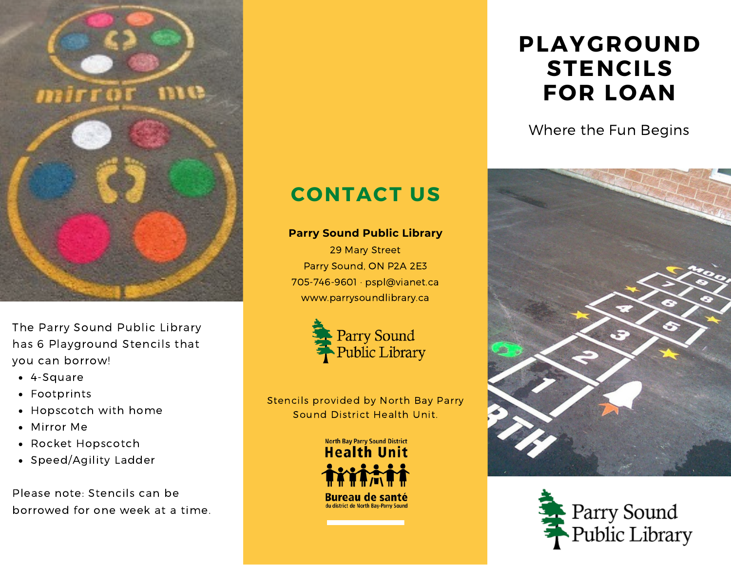

The Parry Sound Public Library has 6 Playground Stencils that you can borrow!

- 4-Square
- Footprints
- Hopscotch with home
- Mirror Me
- Rocket Hopscotch
- Speed/Agility Ladder

Please note: Stencils can be borrowed for one week at a time.

## **CONTACT US**

## **Parry Sound Public Library**

29 Mary Street Parry Sound, ON P2A 2E3 705-746-9601 · pspl@vianet.ca www.parrysoundlibrary.ca



Stencils provided by North Bay Parry Sound District Health Unit.



## **PLAYGROUND STENCILS FOR LOAN**

Where the Fun Begins